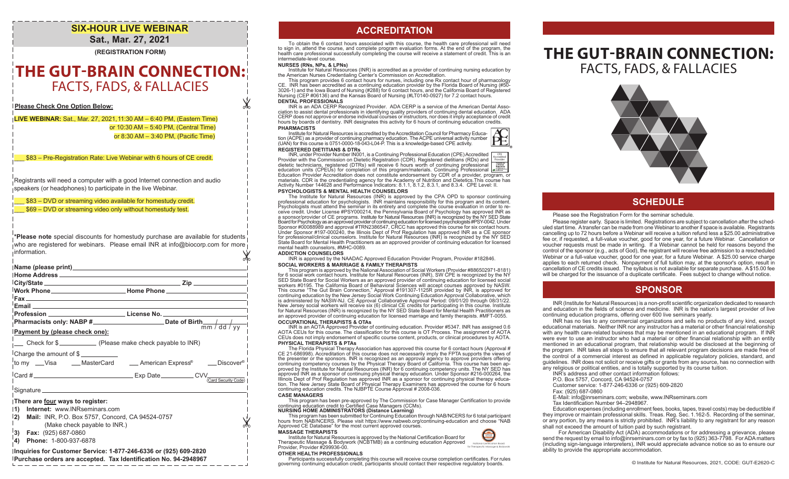## **SIX-HOUR LIVE WEBINAR Sat., Mar. 27, 2021**

**(REGISTRATION FORM)**

# **THE GUT-BRAIN CONNECTION:** FACTS, FADS, & FALLACIES

**Please Check One Option Below:**

**LIVE WEBINAR:** Sat., Mar. 27, 2021,11:30 AM – 6:40 PM, (Eastern Time) or 10:30 AM – 5:40 PM, (Central Time) or 8:30 AM – 3:40 PM, (Pacific Time)

\$83 – Pre-Registration Rate: Live Webinar with 6 hours of CE credit.

Registrants will need a computer with a good Internet connection and audio speakers (or headphones) to participate in the live Webinar.

\_\_\_ \$83 – DVD or streaming video available for homestudy credit.

\_\_\_ \$69 – DVD or streaming video only without homestudy test.

Ж **\*Please note** special discounts for homestudy purchase are available for students who are registered for webinars. Please email INR at info@biocorp.com for more information.

| <sup>∣</sup> Work Phone____________ Home Phone___________<br>Email <b>Explorer Service Control</b> Control Control Control Control Control Control Control Control Control Control Control Control Control Control Control Control Control Control Control Control Control Control Control Contr |                      |
|--------------------------------------------------------------------------------------------------------------------------------------------------------------------------------------------------------------------------------------------------------------------------------------------------|----------------------|
| Profession ______________________________License No. ___________________________                                                                                                                                                                                                                 |                      |
|                                                                                                                                                                                                                                                                                                  |                      |
| Payment by (please check one):                                                                                                                                                                                                                                                                   |                      |
| Check for \$                                                                                                                                                                                                                                                                                     |                      |
| Charge the amount of \$<br>.¦to my    __Visa        __MasterCard         __American Express®        __Discover®                                                                                                                                                                                  |                      |
|                                                                                                                                                                                                                                                                                                  | (Card Security Code) |
|                                                                                                                                                                                                                                                                                                  |                      |
| There are four ways to register:<br>Internet: www.INRseminars.com<br>$\vert$ 1)<br> 2)<br>Mail: INR, P.O. Box 5757, Concord, CA 94524-0757<br>(Make check payable to INR.)<br>$\vert$ 3) Fax: (925) 687-0860                                                                                     |                      |

**4) Phone:** 1-800-937-6878

### **Inquiries for Customer Service: 1-877-246-6336 or (925) 609-2820**

**Purchase orders are accepted. Tax Identification No. 94-2948967**

# **ACCREDITATION**

To obtain the 6 contact hours associated with this course, the health care professional will need to sign in, attend the course, and complete program evaluation forms. At the end of the program, the health care professional successfully completing the course will receive a statement of credit. This is an intermediate-level course.

### **NURSES (RNs, NPs, & LPNs)**

Ж

Institute for Natural Resources (INR) is accredited as a provider of continuing nursing education by the American Nurses Credentialing Center's Commission on Accreditation.

This program provides 6 contact hours for nurses, including one Rx contact hour of pharmacology CE. INR has been accredited as a continuing education provider by the Florida Board of Nursing (#50- 3026-1) and the Iowa Board of Nursing (#288) for 6 contact hours, and the California Board of Registered Nursing (CEP #06136) and the Kansas Board of Nursing (#LT0140-0927) for 7.2 contact hours.

### **DENTAL PROFESSIONALS**<br>INR is an ADA CERP Recognized Provider. ADA CERP is a service of the American Dental Asso-INR is an ADA CERP Recognized Provider. ADA CERP is a service of the American Dental Asso-<br>ciation to assist dental professionals in identifying quality providers of continuing dental education. ADA<br>CERP does not approve hours by boards of dentistry. INR designates this activity for 6 hours of continuing education credits. **PHARMACISTS**

Institute for Natural Resources is accredited by the Accreditation Council for Pharmacy Education (ACPE) as a provider of continuing pharmacy education. The ACPE universal activity number (UAN) for this course is 0751-0000-18-043-L04-P. This is a knowledge-based CPE activity. **REGISTERED DIETITIANS & DTRs**



INR, under Provider Number IN001, is a Continuing Professional Education (CPE) Accredited Provider with the Commission on Dietetic Registration (CDR). Registered dietitians (RDs) and<br>dietetic technicians, registered (DTRs) will receive 6 hours worth of continuing professional<br>education units (CPEUs) for complet Education Provider Accreditation does not constitute endorsement by CDR of a provider, program, or materials. CDR is the credentialing agency for the Academy of Nutrition and Dietetics.This course has Activity Number 144628 and Performance Indicators: 8.1.1, 8.1.2, 8.3.1, and 8.3.4. CPE Level: II. CPE Accredited Provider

**PSYCHOLOGISTS & MENTAL HEALTH COUNSELORS** 

The Institute for Natural Resources (INR) is approved by the CPA OPD to sponsor continuing professional education for psychologists. INR maintains responsibility for this program and its content. Psychologists must attend the seminar in its entirety and complete the course evaluation in order to re- ceive credit. Under License #PSY000214, the Pennsylvania Board of Psychology has approved INR as a sponsor/provider of CE programs. Institute for Natural Resources (INR) is recognized by the NY SED State Board for Psychology as an approved provider of continuing education for licensed psychologists #PSY-0042. Under<br>Sponsor #00088989 and approval #TRN2386547, CRCC has approved this course for six contact hours.<br>Under Sponso for professional/clinical counselors. Institute for Natural Resources (INR) is recognized by the NY SED State Board for Mental Health Practitioners as an approved provider of continuing education for licensed mental health counselors, #MHC-0089.

### **ADDICTION COUNSELORS**

INR is approved by the NAADAC Approved Education Provider Program, Provider #182846. **SOCIAL WORKERS & MARRIAGE & FAMILY THERAPISTS**

This program is approved by the Nalional Association of Social Workers (Provider #886502971-8181) for 6 social work contact hours. Institute for Natural Resources (INR), SW CPE is recognized by the NY SED State Board for Social Workers as an approved provider of continuing education for licensed social workers #0195. The California Board of Behavioral Sciences will accept courses approved by NASW. This course "The Gut Brain Connection," Approval #191307-1125R provided by INR, is approved for continuing education by the New Jersey Social Work Continuing Education Approval Collaborative, which<br>is administered by NASW-NJ. CE Approval Collaborative Approval Period: 09/01/20 through 08/31/22.<br>New Jersey social work for Natural Resources (INR) is recognized by the NY SED State Board for Mental Health Practitioners as an approved provider of continuing education for licensed marriage and family therapists. #MFT-0055. **OCCUPATIONAL THERAPISTS & OTAs**

INR is an AOTA Approved Provider of continuing education. Provider #5347. INR has assigned 0.6 AOTA CEUs for this course. The classification for this course is OT Process. The assignment of AOTA CEUs does not imply endorsement of specific course content, products, or clinical procedures by AOTA. **PHYSICAL THERAPISTS & PTAs**

The Florida Physical Therapy Association has approved this course for 6 contact hours (Approval # CE 21-686998). Accreditation of this course does not necessarily imply the FPTA supports the views of the presenter or the sponsors. INR is recognized as an approval agency to approve providers offering continuing competency courses by the Physical Therapy Board of California. This course has been approved by the Institute for Natural Resources (INR) for 6 continuing competency units. The NY SED has approved INR as a sponsor of continuing physical therapy education. Under Sponsor #216-000264, the Illinois Dept of Prof Regulation has approved INR as a sponsor for continuing physical therapy education. The New Jersey State Board of Physical Therapy Examiners has approved the course for 6 hours continuing education credits. The NJBPTE Course Approval # 2008-036.

#### **CASE MANAGERS**

This program has been pre-approved by The Commission for Case Manager Certification to provide continuing education credit to Certified Case Managers (CCMs).

### **NURSING HOME ADMINISTRATORS (Distance Learning)**

This program has been submitted for Continuing Education through NAB/NCERS for 6 total participant hours from NAB/NCERS. Please visit https://www.nabweb.org/continuing-education and choose "NAB Approved CE Database" for the most current approved courses.

#### **MASSAGE THERAPISTS**

Institute for Natural Resources is approved by the National Certification Board for Therapeutic Massage & Bodywork (NCBTMB) as a continuing education Approved Provider, Provider #299936-00. for Therapeutic Massage & Bodywork

### **OTHER HEALTH PROFESSIONALS**

Participants successfully completing this course will receive course completion certificates. For rules governing continuing education credit, participants should contact their respective regulatory boards.

# **THE GUT-BRAIN CONNECTION:** FACTS, FADS, & FALLACIES



## **SCHEDULE**

#### Please see the Registration Form for the seminar schedule.

 Please register early. Space is limited. Registrations are subject to cancellation after the scheduled start time. A transfer can be made from one Webinar to another if space is available. Registrants cancelling up to 72 hours before a Webinar will receive a tuition refund less a \$25.00 administrative fee or, if requested, a full-value voucher, good for one year, for a future Webinar. Cancellation or voucher requests must be made in writing. If a Webinar cannot be held for reasons beyond the control of the sponsor (e.g., acts of God), the registrant will receive free admission to a rescheduled Webinar or a full-value voucher, good for one year, for a future Webinar. A \$25.00 service charge applies to each returned check. Nonpayment of full tuition may, at the sponsor's option, result in cancellation of CE credits issued. The syllabus is not available for separate purchase. A \$15.00 fee will be charged for the issuance of a duplicate certificate. Fees subject to change without notice.

## **SPONSOR**

INR (Institute for Natural Resources) is a non-profit scientific organization dedicated to research and education in the fields of science and medicine. INR is the nation's largest provider of live continuing education programs, offering over 600 live seminars yearly.

INR has no ties to any commercial organizations and sells no products of any kind, except educational materials. Neither INR nor any instructor has a material or other financial relationship with any health care-related business that may be mentioned in an educational program. If INR were ever to use an instructor who had a material or other financial relationship with an entity mentioned in an educational program, that relationship would be disclosed at the beginning of the program. INR takes all steps to ensure that all relevant program decisions are made free of the control of a commercial interest as defined in applicable regulatory policies, standard, and guidelines. INR does not solicit or receive gifts or grants from any source, has no connection with any religious or political entities, and is totally supported by its course tuition.

INR's address and other contact information follows:

P.O. Box 5757, Concord, CA 94524-0757

Customer service: 1-877-246-6336 or (925) 609-2820

Fax: (925) 687-0860

E-Mail: info@inrseminars.com; website, www.INRseminars.com

Tax Identification Number 94–2948967.

 Education expenses (including enrollment fees, books, tapes, travel costs) may be deductible if they improve or maintain professional skills. Treas. Reg. Sec. 1.162-5. Recording of the seminar, or any portion, by any means is strictly prohibited. INR's liability to any registrant for any reason shall not exceed the amount of tuition paid by such registrant.

 For American Disability Act (ADA) accommodations or for addressing a grievance, please send the request by email to info@inrseminars.com or by fax to (925) 363-7798. For ADA matters (including sign-language interpreters), INR would appreciate advance notice so as to ensure our ability to provide the appropriate accommodation.